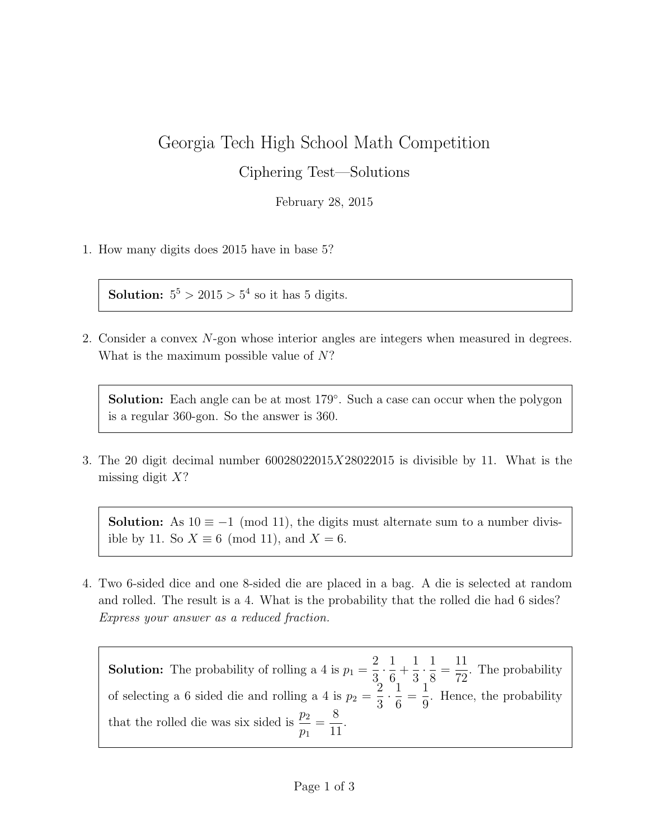## Georgia Tech High School Math Competition

Ciphering Test—Solutions

February 28, 2015

1. How many digits does 2015 have in base 5?

**Solution:**  $5^5 > 2015 > 5^4$  so it has 5 digits.

2. Consider a convex N-gon whose interior angles are integers when measured in degrees. What is the maximum possible value of N?

Solution: Each angle can be at most 179°. Such a case can occur when the polygon is a regular 360-gon. So the answer is 360.

3. The 20 digit decimal number  $60028022015X28022015$  is divisible by 11. What is the missing digit  $X$ ?

**Solution:** As  $10 \equiv -1 \pmod{11}$ , the digits must alternate sum to a number divisible by 11. So  $X \equiv 6 \pmod{11}$ , and  $X = 6$ .

4. Two 6-sided dice and one 8-sided die are placed in a bag. A die is selected at random and rolled. The result is a 4. What is the probability that the rolled die had 6 sides? Express your answer as a reduced fraction.

**Solution:** The probability of rolling a 4 is  $p_1 =$ 2 3  $\cdot \frac{1}{\circ}$ 6  $+$ 1 3  $\cdot \frac{1}{\circ}$ 8 = 11 72 . The probability of selecting a 6 sided die and rolling a 4 is  $p_2 =$ 2 3  $\frac{1}{2}$ 6 = 1 9 . Hence, the probability that the rolled die was six sided is  $\frac{p_2}{p_1}$  $p_1$ = 8 11 .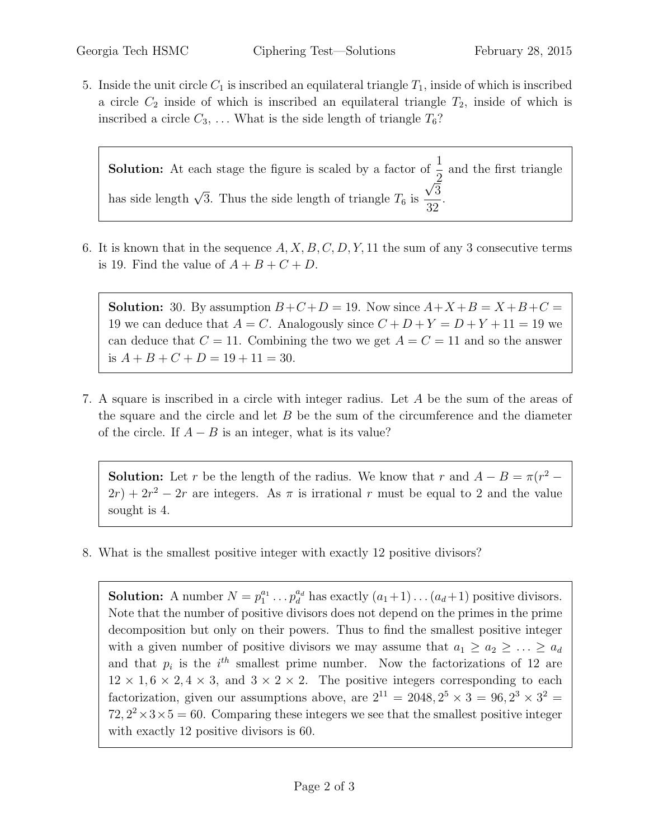5. Inside the unit circle  $C_1$  is inscribed an equilateral triangle  $T_1$ , inside of which is inscribed a circle  $C_2$  inside of which is inscribed an equilateral triangle  $T_2$ , inside of which is inscribed a circle  $C_3$ , ... What is the side length of triangle  $T_6$ ?

**Solution:** At each stage the figure is scaled by a factor of  $\frac{1}{2}$ 2 and the first triangle has side length  $\sqrt{3}$ . Thus the side length of triangle  $T_6$  is √ 3 32 .

6. It is known that in the sequence  $A, X, B, C, D, Y, 11$  the sum of any 3 consecutive terms is 19. Find the value of  $A + B + C + D$ .

**Solution:** 30. By assumption  $B+C+D=19$ . Now since  $A+X+B=X+B+C=$ 19 we can deduce that  $A = C$ . Analogously since  $C + D + Y = D + Y + 11 = 19$  we can deduce that  $C = 11$ . Combining the two we get  $A = C = 11$  and so the answer is  $A + B + C + D = 19 + 11 = 30$ .

7. A square is inscribed in a circle with integer radius. Let A be the sum of the areas of the square and the circle and let  $B$  be the sum of the circumference and the diameter of the circle. If  $A - B$  is an integer, what is its value?

**Solution:** Let r be the length of the radius. We know that r and  $A - B = \pi(r^2 2r+2r^2-2r$  are integers. As  $\pi$  is irrational r must be equal to 2 and the value sought is 4.

8. What is the smallest positive integer with exactly 12 positive divisors?

**Solution:** A number  $N = p_1^{a_1} \dots p_d^{a_d}$  has exactly  $(a_1+1) \dots (a_d+1)$  positive divisors. Note that the number of positive divisors does not depend on the primes in the prime decomposition but only on their powers. Thus to find the smallest positive integer with a given number of positive divisors we may assume that  $a_1 \ge a_2 \ge \ldots \ge a_d$ and that  $p_i$  is the  $i^{th}$  smallest prime number. Now the factorizations of 12 are  $12 \times 1, 6 \times 2, 4 \times 3$ , and  $3 \times 2 \times 2$ . The positive integers corresponding to each factorization, given our assumptions above, are  $2^{11} = 2048, 2^5 \times 3 = 96, 2^3 \times 3^2 =$  $72, 2^2 \times 3 \times 5 = 60$ . Comparing these integers we see that the smallest positive integer with exactly 12 positive divisors is 60.